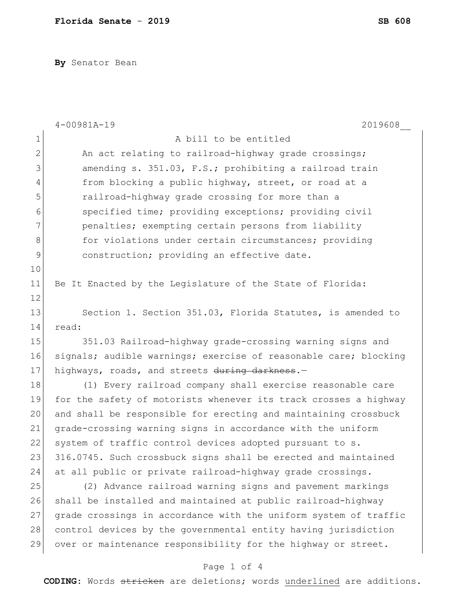**By** Senator Bean

|                | 2019608<br>$4 - 00981A - 19$                                     |
|----------------|------------------------------------------------------------------|
| $\mathbf 1$    | A bill to be entitled                                            |
| $\mathbf{2}$   | An act relating to railroad-highway grade crossings;             |
| 3              | amending s. 351.03, F.S.; prohibiting a railroad train           |
| $\overline{4}$ | from blocking a public highway, street, or road at a             |
| 5              | railroad-highway grade crossing for more than a                  |
| 6              | specified time; providing exceptions; providing civil            |
| 7              | penalties; exempting certain persons from liability              |
| 8              | for violations under certain circumstances; providing            |
| 9              | construction; providing an effective date.                       |
| 10             |                                                                  |
| 11             | Be It Enacted by the Legislature of the State of Florida:        |
| 12             |                                                                  |
| 13             | Section 1. Section 351.03, Florida Statutes, is amended to       |
| 14             | read:                                                            |
| 15             | 351.03 Railroad-highway grade-crossing warning signs and         |
| 16             | signals; audible warnings; exercise of reasonable care; blocking |
| 17             | highways, roads, and streets during darkness.-                   |
| 18             | (1) Every railroad company shall exercise reasonable care        |
| 19             | for the safety of motorists whenever its track crosses a highway |
| 20             | and shall be responsible for erecting and maintaining crossbuck  |
| 21             | grade-crossing warning signs in accordance with the uniform      |
| 22             | system of traffic control devices adopted pursuant to s.         |
| 23             | 316.0745. Such crossbuck signs shall be erected and maintained   |
| 24             | at all public or private railroad-highway grade crossings.       |
| 25             | (2) Advance railroad warning signs and pavement markings         |
| 26             | shall be installed and maintained at public railroad-highway     |
| 27             | grade crossings in accordance with the uniform system of traffic |
| 28             | control devices by the governmental entity having jurisdiction   |
| 29             | over or maintenance responsibility for the highway or street.    |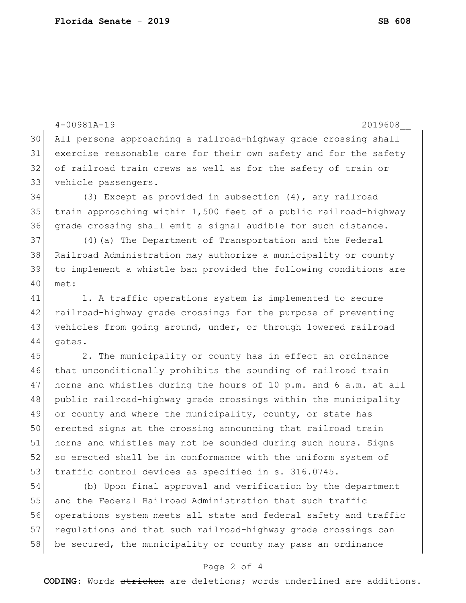4-00981A-19 2019608\_\_ All persons approaching a railroad-highway grade crossing shall exercise reasonable care for their own safety and for the safety of railroad train crews as well as for the safety of train or vehicle passengers. (3) Except as provided in subsection (4), any railroad train approaching within 1,500 feet of a public railroad-highway grade crossing shall emit a signal audible for such distance. (4)(a) The Department of Transportation and the Federal Railroad Administration may authorize a municipality or county to implement a whistle ban provided the following conditions are met: 41 1. A traffic operations system is implemented to secure railroad-highway grade crossings for the purpose of preventing vehicles from going around, under, or through lowered railroad 44 gates. 45 2. The municipality or county has in effect an ordinance that unconditionally prohibits the sounding of railroad train 47 horns and whistles during the hours of 10 p.m. and 6 a.m. at all public railroad-highway grade crossings within the municipality 49 or county and where the municipality, county, or state has erected signs at the crossing announcing that railroad train horns and whistles may not be sounded during such hours. Signs 52 so erected shall be in conformance with the uniform system of 53 traffic control devices as specified in s. 316.0745. (b) Upon final approval and verification by the department and the Federal Railroad Administration that such traffic operations system meets all state and federal safety and traffic 57 regulations and that such railroad-highway grade crossings can

## Page 2 of 4

58 be secured, the municipality or county may pass an ordinance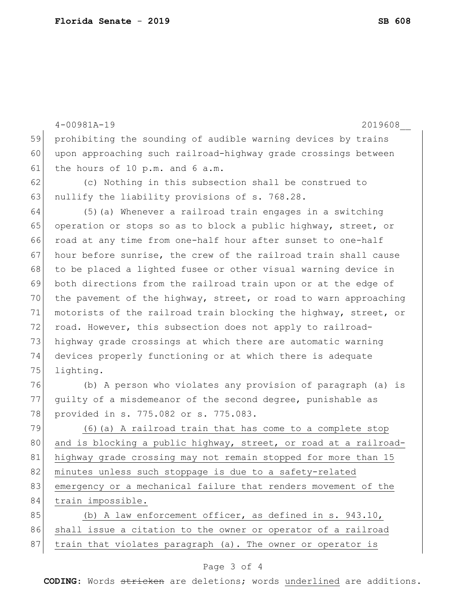|    | $4 - 00981A - 19$<br>2019608                                     |
|----|------------------------------------------------------------------|
| 59 | prohibiting the sounding of audible warning devices by trains    |
| 60 | upon approaching such railroad-highway grade crossings between   |
| 61 | the hours of 10 p.m. and 6 a.m.                                  |
| 62 | (c) Nothing in this subsection shall be construed to             |
| 63 | nullify the liability provisions of s. 768.28.                   |
| 64 | (5) (a) Whenever a railroad train engages in a switching         |
| 65 | operation or stops so as to block a public highway, street, or   |
| 66 | road at any time from one-half hour after sunset to one-half     |
| 67 | hour before sunrise, the crew of the railroad train shall cause  |
| 68 | to be placed a lighted fusee or other visual warning device in   |
| 69 | both directions from the railroad train upon or at the edge of   |
| 70 | the pavement of the highway, street, or road to warn approaching |
| 71 | motorists of the railroad train blocking the highway, street, or |
| 72 | road. However, this subsection does not apply to railroad-       |
| 73 | highway grade crossings at which there are automatic warning     |
| 74 | devices properly functioning or at which there is adequate       |
| 75 | lighting.                                                        |
| 76 | (b) A person who violates any provision of paragraph (a) is      |
| 77 | guilty of a misdemeanor of the second degree, punishable as      |
| 78 | provided in s. 775.082 or s. 775.083.                            |
| 79 | (6) (a) A railroad train that has come to a complete stop        |
| 80 | and is blocking a public highway, street, or road at a railroad- |
| 81 | highway grade crossing may not remain stopped for more than 15   |
| 82 | minutes unless such stoppage is due to a safety-related          |
| 83 | emergency or a mechanical failure that renders movement of the   |
| 84 | train impossible.                                                |
| 85 | (b) A law enforcement officer, as defined in s. 943.10,          |
| 86 | shall issue a citation to the owner or operator of a railroad    |
| 87 | train that violates paragraph (a). The owner or operator is      |
|    |                                                                  |

## Page 3 of 4